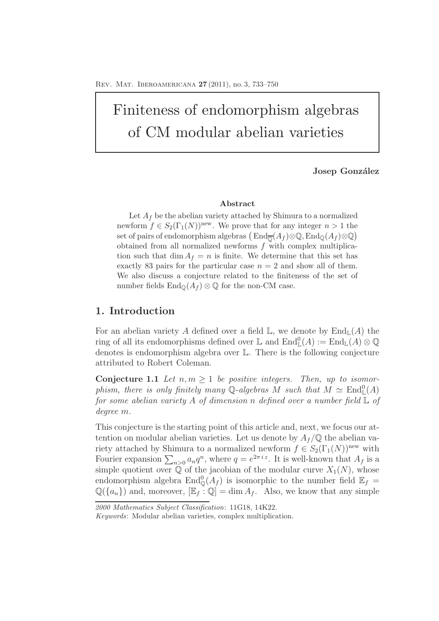# Finiteness of endomorphism algebras of CM modular abelian varieties

**Josep González** 

#### **Abstract**

Let  $A_f$  be the abelian variety attached by Shimura to a normalized newform  $f \in S_2(\Gamma_1(N))^{\text{new}}$ . We prove that for any integer  $n > 1$  the set of pairs of endomorphism algebras  $($ End $_{\overline{\mathbb{Q}}}(A_f) \otimes \mathbb{Q}$ , End $_{\mathbb{Q}}(A_f) \otimes \mathbb{Q}$ obtained from all normalized newforms *f* with complex multiplication such that dim  $A_f = n$  is finite. We determine that this set has exactly 83 pairs for the particular case  $n = 2$  and show all of them. We also discuss a conjecture related to the finiteness of the set of number fields  $\text{End}_{\mathbb{Q}}(A_f) \otimes \mathbb{Q}$  for the non-CM case.

## **1. Introduction**

For an abelian variety A defined over a field  $\mathbb{L}$ , we denote by  $\text{End}_{\mathbb{L}}(A)$  the ring of all its endomorphisms defined over  $\mathbb L$  and  $\mathrm{End}_{\mathbb L}^0(A) := \mathrm{End}_{\mathbb L}(A) \otimes \mathbb Q$ denotes is endomorphism algebra over L. There is the following conjecture attributed to Robert Coleman.

**Conjecture 1.1** Let  $n, m \geq 1$  be positive integers. Then, up to isomorphism, there is only finitely many Q-algebras M such that  $M \simeq \text{End}_{\mathbb{L}}^0(A)$ *for some abelian variety* A *of dimension* n *defined over a number field* L *of degree* m*.*

This conjecture is the starting point of this article and, next, we focus our attention on modular abelian varieties. Let us denote by  $A_f/\mathbb{Q}$  the abelian variety attached by Shimura to a normalized newform  $f \in S_2(\Gamma_1(N))^{\text{new}}$  with Fourier expansion  $\sum_{n>0} a_n q^n$ , where  $q=e^{2\pi i z}$ . It is well-known that  $A_f$  is a simple quotient over  $\mathbb Q$  of the jacobian of the modular curve  $X_1(N)$ , whose endomorphism algebra  $\text{End}_{\mathbb{Q}}^0(A_f)$  is isomorphic to the number field  $\mathbb{E}_f =$  $\mathbb{Q}(\{a_n\})$  and, moreover,  $[\mathbb{E}_f : \mathbb{Q}] = \dim A_f$ . Also, we know that any simple

*<sup>2000</sup> Mathematics Subject Classification*: 11G18, 14K22.

*Keywords*: Modular abelian varieties, complex multiplication.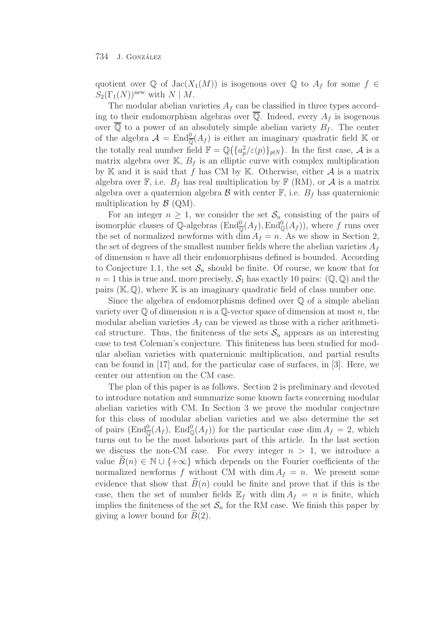quotient over  $\mathbb Q$  of  $\text{Jac}(X_1(M))$  is isogenous over  $\mathbb Q$  to  $A_f$  for some  $f \in$  $S_2(\Gamma_1(N))^{\text{new}}$  with  $N \mid M$ .

The modular abelian varieties  $A_f$  can be classified in three types according to their endomorphism algebras over  $\overline{Q}$ . Indeed, every  $A_f$  is isogenous over  $\overline{Q}$  to a power of an absolutely simple abelian variety  $B_f$ . The center of the algebra  $\mathcal{A} = \text{End}_{\overline{\mathbb{Q}}}(A_f)$  is either an imaginary quadratic field K or the totally real number field  $\mathbb{F} = \mathbb{Q}(\{a_p^2/\varepsilon(p)\}_{p \nmid N})$ . In the first case, A is a matrix algebra over  $\mathbb{K}$ ,  $B_f$  is an elliptic curve with complex multiplication by K and it is said that f has CM by K. Otherwise, either  $A$  is a matrix algebra over  $\mathbb{F}$ , i.e.  $B_f$  has real multiplication by  $\mathbb{F}$  (RM), or A is a matrix algebra over a quaternion algebra  $\mathcal B$  with center  $\mathbb F$ , i.e.  $B_f$  has quaternionic multiplication by  $\mathcal{B}$  (QM).

For an integer  $n \geq 1$ , we consider the set  $\mathcal{S}_n$  consisting of the pairs of isomorphic classes of  $\mathbb{Q}$ -algebras  $(\text{End}_{\mathbb{Q}}^0(A_f), \text{End}_{\mathbb{Q}}^0(A_f))$ , where f runs over the set of normalized newforms with  $\dim A_f = n$ . As we show in Section 2, the set of degrees of the smallest number fields where the abelian varieties  $A_f$ of dimension  $n$  have all their endomorphisms defined is bounded. According to Conjecture 1.1, the set  $S_n$  should be finite. Of course, we know that for  $n = 1$  this is true and, more precisely,  $S_1$  has exactly 10 pairs:  $(\mathbb{Q}, \mathbb{Q})$  and the pairs  $(\mathbb{K}, \mathbb{Q})$ , where  $\mathbb{K}$  is an imaginary quadratic field of class number one.

Since the algebra of endomorphisms defined over  $\mathbb Q$  of a simple abelian variety over  $\mathbb Q$  of dimension n is a  $\mathbb Q$ -vector space of dimension at most n, the modular abelian varieties  $A_f$  can be viewed as those with a richer arithmetical structure. Thus, the finiteness of the sets  $S_n$  appears as an interesting case to test Coleman's conjecture. This finiteness has been studied for modular abelian varieties with quaternionic multiplication, and partial results can be found in [17] and, for the particular case of surfaces, in [3]. Here, we center our attention on the CM case.

The plan of this paper is as follows. Section 2 is preliminary and devoted to introduce notation and summarize some known facts concerning modular abelian varieties with CM. In Section 3 we prove the modular conjecture for this class of modular abelian varieties and we also determine the set of pairs  $(\text{End}_{\overline{\mathbb{Q}}}^0(A_f), \text{End}_{\mathbb{Q}}^0(A_f))$  for the particular case dim  $A_f = 2$ , which turns out to be the most laborious part of this article. In the last section we discuss the non-CM case. For every integer  $n > 1$ , we introduce a value  $B(n) \in \mathbb{N} \cup \{+\infty\}$  which depends on the Fourier coefficients of the normalized newforms f without CM with dim  $A_f = n$ . We present some evidence that show that  $B(n)$  could be finite and prove that if this is the case, then the set of number fields  $\mathbb{E}_f$  with  $\dim A_f = n$  is finite, which implies the finiteness of the set  $S_n$  for the RM case. We finish this paper by giving a lower bound for  $B(2)$ .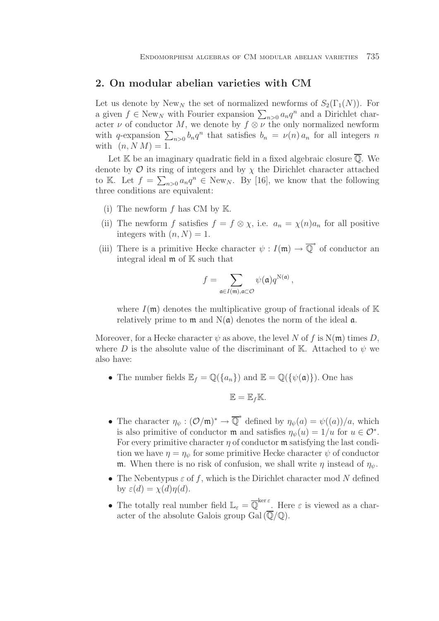## **2. On modular abelian varieties with CM**

Let us denote by New<sub>N</sub> the set of normalized newforms of  $S_2(\Gamma_1(N))$ . For a given  $f \in \text{New}_N$  with Fourier expansion  $\sum_{n>0} a_n q^n$  and a Dirichlet character  $\nu$  of conductor M, we denote by  $f \otimes \nu$  the only normalized newform with q-expansion  $\sum_{n>0} b_n q^n$  that satisfies  $b_n = \nu(n) a_n$  for all integers n with  $(n, N M) = 1$ .

Let  $\mathbb K$  be an imaginary quadratic field in a fixed algebraic closure  $\overline{\mathbb Q}$ . We denote by  $\mathcal O$  its ring of integers and by  $\chi$  the Dirichlet character attached to K. Let  $f = \sum_{n>0} a_n q^n \in \text{New}_N$ . By [16], we know that the following three conditions are equivalent:

- (i) The newform  $f$  has CM by  $\mathbb{K}$ .
- (ii) The newform f satisfies  $f = f \otimes \chi$ , i.e.  $a_n = \chi(n)a_n$  for all positive integers with  $(n, N) = 1$ .
- (iii) There is a primitive Hecke character  $\psi : I(\mathfrak{m}) \to \overline{\mathbb{Q}}^*$  of conductor an integral ideal  $m$  of  $K$  such that

$$
f = \sum_{\mathfrak{a} \in I(\mathfrak{m}), \mathfrak{a} \subset \mathcal{O}} \psi(\mathfrak{a}) q^{\mathbf{N}(\mathfrak{a})},
$$

where  $I(\mathfrak{m})$  denotes the multiplicative group of fractional ideals of K relatively prime to  $m$  and  $N(a)$  denotes the norm of the ideal  $a$ .

Moreover, for a Hecke character  $\psi$  as above, the level N of f is N(m) times D, where D is the absolute value of the discriminant of K. Attached to  $\psi$  we also have:

• The number fields  $\mathbb{E}_f = \mathbb{Q}(\{a_n\})$  and  $\mathbb{E} = \mathbb{Q}(\{\psi(\mathfrak{a})\})$ . One has

$$
\mathbb{E}=\mathbb{E}_f\mathbb{K}.
$$

- The character  $\eta_{\psi}: (\mathcal{O}/\mathfrak{m})^* \to \overline{\mathbb{Q}}^*$  defined by  $\eta_{\psi}(a) = \psi((a))/a$ , which is also primitive of conductor **m** and satisfies  $\eta_{\psi}(u)=1/u$  for  $u \in \mathcal{O}^*$ . For every primitive character  $\eta$  of conductor  $\mathfrak m$  satisfying the last condition we have  $\eta = \eta_{\psi}$  for some primitive Hecke character  $\psi$  of conductor m. When there is no risk of confusion, we shall write  $\eta$  instead of  $\eta_{\psi}$ .
- The Nebentypus  $\varepsilon$  of f, which is the Dirichlet character mod N defined by  $\varepsilon(d) = \chi(d)\eta(d)$ .
- The totally real number field  $\mathbb{L}_{\varepsilon} = \overline{\mathbb{Q}}^{\ker \varepsilon}$ . Here  $\varepsilon$  is viewed as a character of the absolute Galois group Gal $(\overline{\mathbb{Q}}/\mathbb{Q})$ .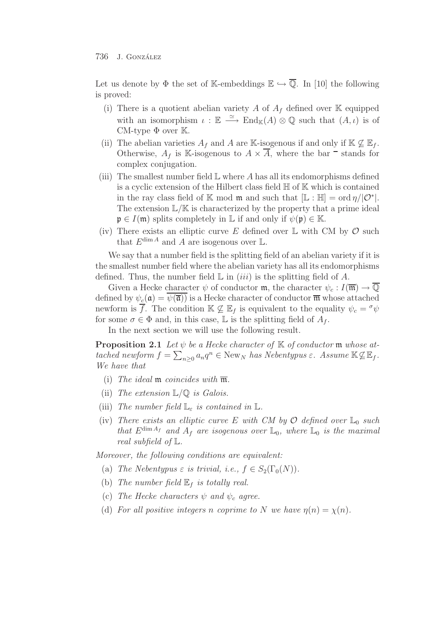Let us denote by  $\Phi$  the set of K-embeddings  $\mathbb{E} \hookrightarrow \mathbb{Q}$ . In [10] the following is proved:

- (i) There is a quotient abelian variety A of  $A_f$  defined over K equipped with an isomorphism  $\iota : \mathbb{E} \longrightarrow \text{End}_{\mathbb{K}}(A) \otimes \mathbb{Q}$  such that  $(A, \iota)$  is of CM-type  $\Phi$  over  $\mathbb{K}$ .
- (ii) The abelian varieties  $A_f$  and A are K-isogenous if and only if  $K \not\subseteq \mathbb{E}_f$ . Otherwise,  $A_f$  is K-isogenous to  $A \times \overline{A}$ , where the bar  $\overline{A}$  stands for complex conjugation.
- (iii) The smallest number field  $\mathbb L$  where A has all its endomorphisms defined is a cyclic extension of the Hilbert class field H of K which is contained in the ray class field of K mod **m** and such that  $[L : H] = \text{ord } \eta / |\mathcal{O}^*|$ . The extension  $\mathbb{L}/\mathbb{K}$  is characterized by the property that a prime ideal  $\mathfrak{p} \in I(\mathfrak{m})$  splits completely in  $\mathbb L$  if and only if  $\psi(\mathfrak{p}) \in \mathbb K$ .
- (iv) There exists an elliptic curve E defined over  $\mathbb L$  with CM by  $\mathcal O$  such that  $E^{\dim A}$  and A are isogenous over L.

We say that a number field is the splitting field of an abelian variety if it is the smallest number field where the abelian variety has all its endomorphisms defined. Thus, the number field  $\mathbb L$  in *(iii)* is the splitting field of A.

Given a Hecke character  $\psi$  of conductor m, the character  $\psi_c: I(\overline{\mathfrak{m}}) \to \overline{\mathbb{Q}}$ defined by  $\psi_c(\mathfrak{a}) = \psi(\overline{\mathfrak{a}})$  is a Hecke character of conductor  $\overline{\mathfrak{m}}$  whose attached newform is f. The condition  $\mathbb{K} \not\subseteq \mathbb{E}_f$  is equivalent to the equality  $\psi_c = \gamma \psi$ for some  $\sigma \in \Phi$  and, in this case, L is the splitting field of  $A_f$ .

In the next section we will use the following result.

**Proposition 2.1** *Let*  $\psi$  *be a Hecke character of*  $\mathbb{K}$  *of conductor*  $\mathfrak{m}$  *whose attached newform*  $f = \sum_{n\geq 0} a_n q^n \in \text{New}_N$  *has Nebentypus*  $\varepsilon$ *. Assume*  $\mathbb{K} \not\subseteq \mathbb{E}_f$ *. We have that*

- (i) *The ideal* m *coincides with* m*.*
- (ii) *The extension* L/Q *is Galois.*
- (iii) *The number field*  $\mathbb{L}_{\varepsilon}$  *is contained in*  $\mathbb{L}$ *.*
- (iv) There exists an elliptic curve E with CM by  $\mathcal{O}$  defined over  $\mathbb{L}_0$  such *that*  $E^{\dim A_f}$  *and*  $A_f$  *are isogenous over*  $\mathbb{L}_0$ *, where*  $\mathbb{L}_0$  *is the maximal real subfield of* L*.*

*Moreover, the following conditions are equivalent:*

- (a) *The Nebentypus*  $\varepsilon$  *is trivial, i.e.,*  $f \in S_2(\Gamma_0(N))$ *.*
- (b) The number field  $\mathbb{E}_f$  *is totally real.*
- (c) *The Hecke characters*  $\psi$  *and*  $\psi_c$  *agree.*
- (d) *For all positive integers n coprime to* N *we have*  $\eta(n) = \chi(n)$ *.*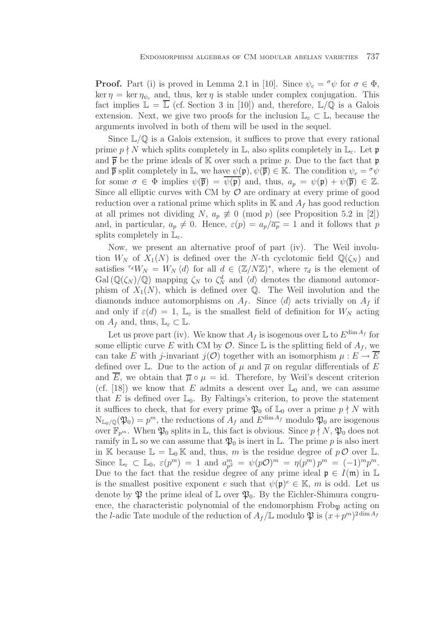**Proof.** Part (i) is proved in Lemma 2.1 in [10]. Since  $\psi_c = \sigma \psi$  for  $\sigma \in \Phi$ , ker  $\eta = \ker \eta_{\psi_c}$  and, thus, ker  $\eta$  is stable under complex conjugation. This fact implies  $\mathbb{L} = \overline{\mathbb{L}}$  (cf. Section 3 in [10]) and, therefore,  $\mathbb{L}/\mathbb{Q}$  is a Galois extension. Next, we give two proofs for the inclusion  $\mathbb{L}_{\varepsilon} \subset \mathbb{L}$ , because the arguments involved in both of them will be used in the sequel.

Since  $\mathbb{L}/\mathbb{Q}$  is a Galois extension, it suffices to prove that every rational prime  $p \nmid N$  which splits completely in  $\mathbb{L}$ , also splits completely in  $\mathbb{L}_{\varepsilon}$ . Let  $\mathfrak{p}$ and  $\bar{p}$  be the prime ideals of K over such a prime p. Due to the fact that p and  $\bar{\mathfrak{p}}$  split completely in L, we have  $\psi(\mathfrak{p}), \psi(\bar{\mathfrak{p}}) \in \mathbb{K}$ . The condition  $\psi_c = \sigma \psi$ for some  $\sigma \in \Phi$  implies  $\psi(\overline{\mathfrak{p}}) = \psi(\mathfrak{p})$  and, thus,  $a_p = \psi(\mathfrak{p}) + \psi(\overline{\mathfrak{p}}) \in \mathbb{Z}$ . Since all elliptic curves with CM by  $\mathcal O$  are ordinary at every prime of good reduction over a rational prime which splits in  $\mathbb{K}$  and  $A_f$  has good reduction at all primes not dividing N,  $a_p \not\equiv 0 \pmod{p}$  (see Proposition 5.2 in [2]) and, in particular,  $a_p \neq 0$ . Hence,  $\varepsilon(p) = a_p/\overline{a_p} = 1$  and it follows that p splits completely in  $\mathbb{L}_{\varepsilon}$ .

Now, we present an alternative proof of part (iv). The Weil involution  $W_N$  of  $X_1(N)$  is defined over the N-th cyclotomic field  $\mathbb{Q}(\zeta_N)$  and satisfies <sup> $\tau_d W_N = W_N \langle d \rangle$  for all  $d \in (\mathbb{Z}/N\mathbb{Z})^*$ , where  $\tau_d$  is the element of</sup>  $Gal(\mathbb{Q}(\zeta_N)/\mathbb{Q})$  mapping  $\zeta_N$  to  $\zeta_N^d$  and  $\langle d \rangle$  denotes the diamond automorphism of  $X_1(N)$ , which is defined over Q. The Weil involution and the diamonds induce automorphisms on  $A_f$ . Since  $\langle d \rangle$  acts trivially on  $A_f$  if and only if  $\varepsilon(d) = 1$ ,  $\mathbb{L}_{\varepsilon}$  is the smallest field of definition for  $W_N$  acting on  $A_f$  and, thus,  $\mathbb{L}_{\varepsilon} \subset \mathbb{L}$ .

Let us prove part (iv). We know that  $A_f$  is isogenous over  $\mathbb L$  to  $E^{\dim A_f}$  for some elliptic curve E with CM by  $\mathcal O$ . Since L is the splitting field of  $A_f$ , we can take E with j-invariant  $j(\mathcal{O})$  together with an isomorphism  $\mu : E \to E$ defined over L. Due to the action of  $\mu$  and  $\overline{\mu}$  on regular differentials of E and  $\overline{E}$ , we obtain that  $\overline{\mu} \circ \mu = id$ . Therefore, by Weil's descent criterion (cf. [18]) we know that E admits a descent over  $\mathbb{L}_0$  and, we can assume that E is defined over  $\mathbb{L}_0$ . By Faltings's criterion, to prove the statement it suffices to check, that for every prime  $\mathfrak{P}_0$  of  $\mathbb{L}_0$  over a prime  $p \nmid N$  with  $N_{L_0/\mathbb{Q}}(\mathfrak{P}_0) = p^m$ , the reductions of  $A_f$  and  $E^{\dim A_f}$  modulo  $\mathfrak{P}_0$  are isogenous over  $\mathbb{F}_{p^m}$ . When  $\mathfrak{P}_0$  splits in L, this fact is obvious. Since  $p \nmid N$ ,  $\mathfrak{P}_0$  does not ramify in L so we can assume that  $\mathfrak{P}_0$  is inert in L. The prime p is also inert in K because  $\mathbb{L} = \mathbb{L}_0 \mathbb{K}$  and, thus, m is the residue degree of  $p \mathcal{O}$  over  $\mathbb{L}$ . Since  $\mathbb{L}_{\varepsilon} \subset \mathbb{L}_0$ ,  $\varepsilon(p^m) = 1$  and  $a_{p^2}^m = \psi(p\mathcal{O})^m = \eta(p^m) p^m = (-1)^m p^m$ . Due to the fact that the residue degree of any prime ideal  $\mathfrak{p} \in I(\mathfrak{m})$  in L is the smallest positive exponent e such that  $\psi(\mathfrak{p})^e \in \mathbb{K}$ , m is odd. Let us denote by  $\mathfrak P$  the prime ideal of  $\mathbb L$  over  $\mathfrak P_0$ . By the Eichler-Shimura congruence, the characteristic polynomial of the endomorphism  $Frob_{\mathfrak{P}}$  acting on the *l*-adic Tate module of the reduction of  $A_f/\mathbb{L}$  modulo  $\mathfrak{P}$  is  $(x+p^m)^{2 \dim A_f}$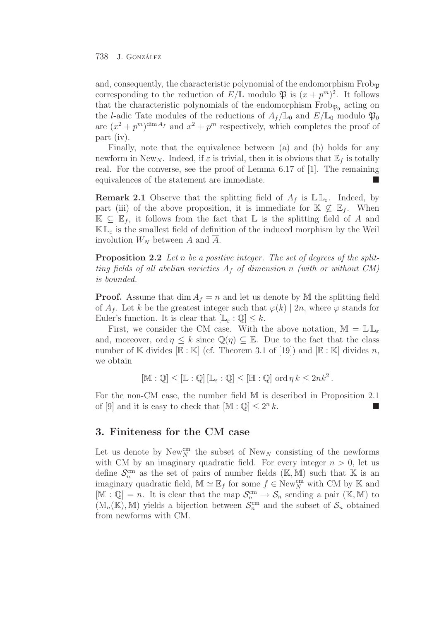and, consequently, the characteristic polynomial of the endomorphism  $Frob_{\mathfrak{R}}$ corresponding to the reduction of  $E/L$  modulo  $\mathfrak{P}$  is  $(x + p^m)^2$ . It follows that the characteristic polynomials of the endomorphism  $Frob_{\mathfrak{D}_0}$  acting on the *l*-adic Tate modules of the reductions of  $A_f/\mathbb{L}_0$  and  $E/\mathbb{L}_0$  modulo  $\mathfrak{P}_0$ are  $(x^2 + p^m)^{\dim A_f}$  and  $x^2 + p^m$  respectively, which completes the proof of part (iv).

Finally, note that the equivalence between (a) and (b) holds for any newform in New<sub>N</sub>. Indeed, if  $\varepsilon$  is trivial, then it is obvious that  $\mathbb{E}_f$  is totally real. For the converse, see the proof of Lemma 6.17 of [1]. The remaining equivalences of the statement are immediate.

**Remark 2.1** Observe that the splitting field of  $A_f$  is  $\mathbb{L} \mathbb{L}_{\varepsilon}$ . Indeed, by part (iii) of the above proposition, it is immediate for  $\mathbb{K} \nsubseteq \mathbb{E}_f$ . When  $\mathbb{K} \subset \mathbb{E}_f$ , it follows from the fact that  $\mathbb{L}$  is the splitting field of A and  $\mathbb{KL}_{\varepsilon}$  is the smallest field of definition of the induced morphism by the Weil involution  $W_N$  between A and  $\overline{A}$ .

**Proposition 2.2** *Let* n *be a positive integer. The set of degrees of the splitting fields of all abelian varieties*  $A_f$  *of dimension* n *(with or without CM) is bounded.*

**Proof.** Assume that dim  $A_f = n$  and let us denote by M the splitting field of  $A_f$ . Let k be the greatest integer such that  $\varphi(k)$  | 2n, where  $\varphi$  stands for Euler's function. It is clear that  $[\mathbb{L}_{\varepsilon} : \mathbb{Q}] \leq k$ .

First, we consider the CM case. With the above notation,  $\mathbb{M} = \mathbb{L} \mathbb{L}_\varepsilon$ and, moreover, ord  $\eta \leq k$  since  $\mathbb{Q}(\eta) \subseteq \mathbb{E}$ . Due to the fact that the class number of K divides  $\mathbb{E} : \mathbb{K}$  (cf. Theorem 3.1 of [19]) and  $\mathbb{E} : \mathbb{K}$  divides n, we obtain

$$
[\mathbb{M} : \mathbb{Q}] \leq [\mathbb{L} : \mathbb{Q}] [\mathbb{L}_{\varepsilon} : \mathbb{Q}] \leq [\mathbb{H} : \mathbb{Q}] \text{ ord } \eta k \leq 2nk^2.
$$

For the non-CM case, the number field M is described in Proposition 2.1 of [9] and it is easy to check that  $[\mathbb{M} : \mathbb{Q}] \leq 2^n k$ .

## **3. Finiteness for the CM case**

Let us denote by  $\text{New}_N^{\text{cm}}$  the subset of  $\text{New}_N$  consisting of the newforms with CM by an imaginary quadratic field. For every integer  $n > 0$ , let us define  $\mathcal{S}_n^{\text{cm}}$  as the set of pairs of number fields (K, M) such that K is an imaginary quadratic field,  $\mathbb{M} \simeq \mathbb{E}_f$  for some  $f \in \text{New}_{N}^{\text{cm}}$  with CM by K and  $[\mathbb{M} : \mathbb{Q}] = n$ . It is clear that the map  $\mathcal{S}_n^{\text{cm}} \to \mathcal{S}_n$  sending a pair (K, M) to  $(M_n(\mathbb{K}), \mathbb{M})$  yields a bijection between  $\mathcal{S}_n^{\text{cm}}$  and the subset of  $\mathcal{S}_n$  obtained from newforms with CM.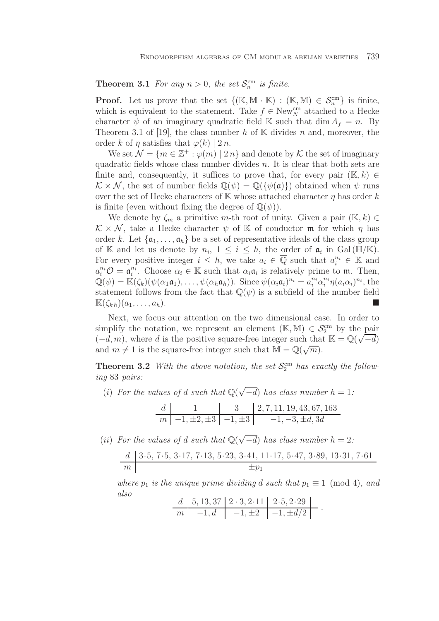**Theorem 3.1** *For any*  $n > 0$ *, the set*  $\mathcal{S}_n^{\text{cm}}$  *is finite.* 

**Proof.** Let us prove that the set  $\{(\mathbb{K}, \mathbb{M} \cdot \mathbb{K}) : (\mathbb{K}, \mathbb{M}) \in \mathcal{S}_n^{\text{cm}}\}\)$  is finite, which is equivalent to the statement. Take  $f \in \text{New}_{N}^{\text{cm}}$  attached to a Hecke character  $\psi$  of an imaginary quadratic field K such that dim  $A_f = n$ . By Theorem 3.1 of [19], the class number h of  $K$  divides n and, moreover, the order k of  $\eta$  satisfies that  $\varphi(k)$  | 2 n.

We set  $\mathcal{N} = \{m \in \mathbb{Z}^+ : \varphi(m) \mid 2n\}$  and denote by K the set of imaginary quadratic fields whose class number divides  $n$ . It is clear that both sets are finite and, consequently, it suffices to prove that, for every pair  $(\mathbb{K}, k) \in$  $\mathcal{K} \times \mathcal{N}$ , the set of number fields  $\mathbb{Q}(\psi) = \mathbb{Q}(\{\psi(\mathfrak{a})\})$  obtained when  $\psi$  runs over the set of Hecke characters of K whose attached character  $\eta$  has order k is finite (even without fixing the degree of  $\mathbb{Q}(\psi)$ ).

We denote by  $\zeta_m$  a primitive m-th root of unity. Given a pair  $(\mathbb{K}, k) \in$  $\mathcal{K} \times \mathcal{N}$ , take a Hecke character  $\psi$  of K of conductor m for which  $\eta$  has order k. Let  $\{a_1,\ldots,a_h\}$  be a set of representative ideals of the class group of K and let us denote by  $n_i$ ,  $1 \leq i \leq h$ , the order of  $\mathfrak{a}_i$  in Gal (HI/K). For every positive integer  $i \leq h$ , we take  $a_i \in \overline{Q}$  such that  $a_i^{n_i} \in \mathbb{K}$  and  $a_i^{n_i} \mathcal{O} = \mathfrak{a}_i^{n_i}$ . Choose  $\alpha_i \in \mathbb{K}$  such that  $\alpha_i \mathfrak{a}_i$  is relatively prime to  $\mathfrak{m}$ . Then,  $\mathbb{Q}(\psi) = \mathbb{K}(\zeta_k)(\psi(\alpha_1\mathfrak{a}_1), \ldots, \psi(\alpha_h\mathfrak{a}_h)).$  Since  $\psi(\alpha_i\mathfrak{a}_i)^{n_i} = a_i^{n_i} \alpha_i^{n_i} \eta(a_i\alpha_i)^{n_i}$ , the statement follows from the fact that  $\mathbb{Q}(\psi)$  is a subfield of the number field  $\mathbb{K}(\zeta_{k,h})(a_1,\ldots,a_h).$ 

Next, we focus our attention on the two dimensional case. In order to simplify the notation, we represent an element  $(\mathbb{K}, \mathbb{M}) \in \mathcal{S}_2^{\text{cm}}$  by the pair simplify the notation, we represent an element  $(\mathbb{R}, \mathbb{M}) \in \mathcal{S}_2^{\infty}$  by the pair  $(-d, m)$ , where d is the positive square-free integer such that  $\mathbb{K} = \mathbb{Q}(\sqrt{-d})$ and  $m \neq 1$  is the square-free integer such that  $M = \mathbb{Q}(\sqrt{m})$ .

**Theorem 3.2** *With the above notation, the set*  $\mathcal{S}_2^{\text{cm}}$  *has exactly the following* 83 *pairs:*

(*i*) *For the values of d such that*  $\mathbb{Q}(\sqrt{-d})$  *has class number h* = 1*:* 

$$
\begin{array}{c|c|c|c|c} d & 1 & 3 & 2,7,11,19,43,67,163 \\ \hline m & -1, \pm 2, \pm 3 & -1, \pm 3 & -1, -3, \pm d, 3d \end{array}
$$

(*ii*) *For the values of d such that*  $\mathbb{Q}(\sqrt{-d})$  *has class number*  $h = 2$ *:* 

$$
\begin{array}{c|c|c|c|c|c} d & 3\cdot 5, 7\cdot 5, 3\cdot 17, 7\cdot 13, 5\cdot 23, 3\cdot 41, 11\cdot 17, 5\cdot 47, 3\cdot 89, 13\cdot 31, 7\cdot 61 \\ \hline & \pm p_1 \end{array}
$$

*where*  $p_1$  *is the unique prime dividing d such that*  $p_1 \equiv 1 \pmod{4}$ *, and also*

$$
\begin{array}{c|c|c|c|c|c|c|c|c} d & 5,13,37 & 2 \cdot 3,2 \cdot 11 & 2 \cdot 5,2 \cdot 29 \\ \hline m & -1,d & -1,\pm 2 & -1,\pm d/2 \end{array}.
$$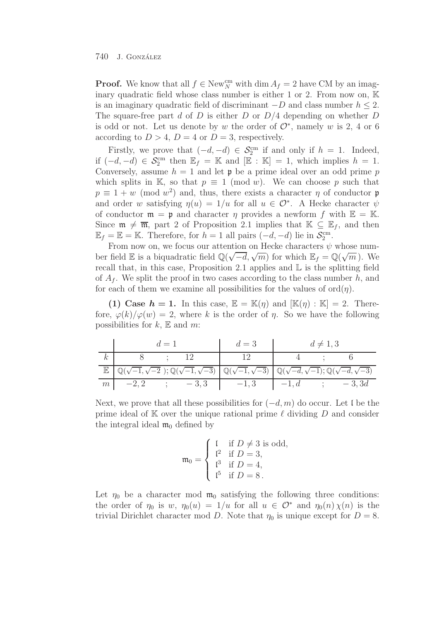**Proof.** We know that all  $f \in \text{New}_{N}^{\text{cm}}$  with dim  $A_f = 2$  have CM by an imaginary quadratic field whose class number is either 1 or 2. From now on, K is an imaginary quadratic field of discriminant  $-D$  and class number  $h \leq 2$ . The square-free part d of D is either D or  $D/4$  depending on whether D is odd or not. Let us denote by w the order of  $\mathcal{O}^*$ , namely w is 2, 4 or 6 according to  $D > 4$ ,  $D = 4$  or  $D = 3$ , respectively.

Firstly, we prove that  $(-d, -d) \in \mathcal{S}_2^{\text{cm}}$  if and only if  $h = 1$ . Indeed, if  $(-d, -d) \in \mathcal{S}_2^{\text{cm}}$  then  $\mathbb{E}_f = \mathbb{K}$  and  $[\mathbb{E} : \mathbb{K}] = 1$ , which implies  $h = 1$ . Conversely, assume  $h = 1$  and let  $\mathfrak p$  be a prime ideal over an odd prime p which splits in K, so that  $p \equiv 1 \pmod{w}$ . We can choose p such that  $p \equiv 1 + w \pmod{w^2}$  and, thus, there exists a character  $\eta$  of conductor p and order w satisfying  $\eta(u)=1/u$  for all  $u \in \mathcal{O}^*$ . A Hecke character  $\psi$ of conductor  $\mathfrak{m} = \mathfrak{p}$  and character  $\eta$  provides a newform f with  $\mathbb{E} = \mathbb{K}$ . Since  $\mathfrak{m} \neq \overline{\mathfrak{m}}$ , part 2 of Proposition 2.1 implies that  $\mathbb{K} \subseteq \mathbb{E}_f$ , and then  $\mathbb{E}_f = \mathbb{E} = \mathbb{K}$ . Therefore, for  $h = 1$  all pairs  $(-d, -d)$  lie in  $\mathcal{S}_2^{\text{cm}}$ .

From now on, we focus our attention on Hecke characters  $\psi$  whose num-From now on, we focus our attention on Hecke characters  $\psi$  whose num-<br>ber field  $\mathbb E$  is a biquadratic field  $\mathbb Q(\sqrt{-d}, \sqrt{m})$  for which  $\mathbb E_f = \mathbb Q(\sqrt{m})$ . We recall that, in this case, Proposition 2.1 applies and L is the splitting field of  $A_f$ . We split the proof in two cases according to the class number h, and for each of them we examine all possibilities for the values of  $\text{ord}(\eta)$ .

**(1) Case**  $h = 1$ **.** In this case,  $\mathbb{E} = \mathbb{K}(\eta)$  and  $[\mathbb{K}(\eta) : \mathbb{K}] = 2$ . Therefore,  $\varphi(k)/\varphi(w) = 2$ , where k is the order of  $\eta$ . So we have the following possibilities for  $k$ ,  $E$  and  $m$ :

|             | $d=1$   |  |        | $d=3$                                                                                                                                                                                           | $d \neq 1,3$ |  |         |
|-------------|---------|--|--------|-------------------------------------------------------------------------------------------------------------------------------------------------------------------------------------------------|--------------|--|---------|
| k,          |         |  |        |                                                                                                                                                                                                 |              |  |         |
| $\mathbb E$ |         |  |        | $\left[ \mathbb{Q}(\sqrt{-1},\sqrt{-2});\mathbb{Q}(\sqrt{-1},\sqrt{-3}) \right] \mathbb{Q}(\sqrt{-1},\sqrt{-3}) \left[ \mathbb{Q}(\sqrt{-d},\sqrt{-1});\mathbb{Q}(\sqrt{-d},\sqrt{-3}) \right]$ |              |  |         |
| m           | $-2, 2$ |  | $-3,3$ | $-1, 3$                                                                                                                                                                                         | $-1$ , d     |  | $-3,3d$ |

Next, we prove that all these possibilities for  $(-d, m)$  do occur. Let l be the prime ideal of K over the unique rational prime  $\ell$  dividing D and consider the integral ideal  $\mathfrak{m}_0$  defined by

$$
\mathfrak{m}_0 = \begin{cases} \n1 & \text{if } D \neq 3 \text{ is odd,} \\ \n1^2 & \text{if } D = 3, \\ \n1^3 & \text{if } D = 4, \\ \n1^5 & \text{if } D = 8. \n\end{cases}
$$

Let  $\eta_0$  be a character mod  $\mathfrak{m}_0$  satisfying the following three conditions: the order of  $\eta_0$  is w,  $\eta_0(u)=1/u$  for all  $u \in \mathcal{O}^*$  and  $\eta_0(n) \chi(n)$  is the trivial Dirichlet character mod D. Note that  $\eta_0$  is unique except for  $D = 8$ .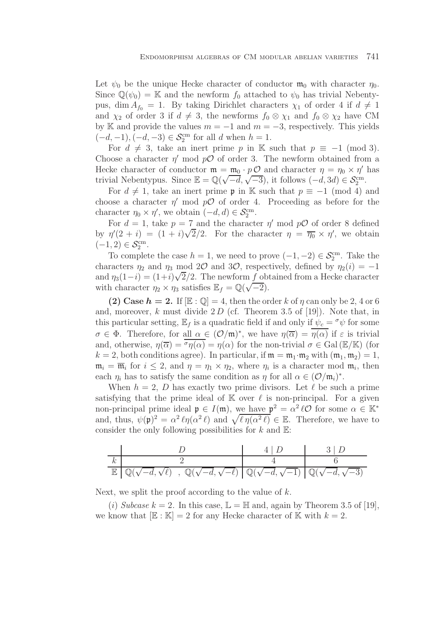Let  $\psi_0$  be the unique Hecke character of conductor  $\mathfrak{m}_0$  with character  $\eta_0$ . Since  $\mathbb{Q}(\psi_0) = \mathbb{K}$  and the newform  $f_0$  attached to  $\psi_0$  has trivial Nebentypus, dim  $A_{f_0} = 1$ . By taking Dirichlet characters  $\chi_1$  of order 4 if  $d \neq 1$ and  $\chi_2$  of order 3 if  $d \neq 3$ , the newforms  $f_0 \otimes \chi_1$  and  $f_0 \otimes \chi_2$  have CM by K and provide the values  $m = -1$  and  $m = -3$ , respectively. This yields  $(-d, -1), (-d, -3) \in \mathcal{S}_2^{\text{cm}}$  for all d when  $h = 1$ .

For  $d \neq 3$ , take an inert prime p in K such that  $p \equiv -1 \pmod{3}$ . Choose a character  $\eta'$  mod  $p\mathcal{O}$  of order 3. The newform obtained from a Hecke character of conductor  $\mathfrak{m} = \mathfrak{m}_0 \cdot p \mathcal{O}$  and character  $\eta = \eta_0 \times \eta'$  has trivial Nebentypus. Since  $\mathbb{E} = \mathbb{Q}(\sqrt{-d}, \sqrt{-3})$ , it follows  $(-d, 3d) \in \mathcal{S}_2^{\text{cm}}$ .

For  $d \neq 1$ , take an inert prime **p** in K such that  $p \equiv -1 \pmod{4}$  and choose a character  $\eta'$  mod  $p\mathcal{O}$  of order 4. Proceeding as before for the character  $\eta_0 \times \eta'$ , we obtain  $(-d, d) \in \mathcal{S}_2^{\text{cm}}$ .

For  $d = 1$ , take  $p = 7$  and the character  $\eta'$  mod  $pO$  of order 8 defined by  $\eta'(2 + i) = (1 + i)\sqrt{2}/2$ . For the character  $\eta = \overline{\eta_0} \times \eta'$ , we obtain  $(-1, 2) \in \mathcal{S}_2^{\text{cm}}$ .

To complete the case  $h = 1$ , we need to prove  $(-1, -2) \in \mathcal{S}_2^{\text{cm}}$ . Take the characters  $\eta_2$  and  $\eta_3$  mod 2 $\mathcal{O}$  and 3 $\mathcal{O}$ , respectively, defined by  $\eta_2(i) = -1$ and  $\eta_3(1-i) = (1+i)\sqrt{2}/2$ . The newform f obtained from a Hecke character and  $\eta_3(1-i) = (1+i)\sqrt{2}/2$ . The newform f ob<br>with character  $\eta_2 \times \eta_3$  satisfies  $\mathbb{E}_f = \mathbb{Q}(\sqrt{-2})$ .

**(2) Case**  $h = 2$ **.** If  $[\mathbb{E} : \mathbb{Q}] = 4$ , then the order k of  $\eta$  can only be 2, 4 or 6 and, moreover,  $k$  must divide  $2 D$  (cf. Theorem 3.5 of [19]). Note that, in this particular setting,  $\mathbb{E}_f$  is a quadratic field if and only if  $\psi_c = \gamma \psi$  for some  $\sigma \in \Phi$ . Therefore, for all  $\alpha \in (\mathcal{O}/\mathfrak{m})^*$ , we have  $\eta(\overline{\alpha}) = \eta(\alpha)$  if  $\varepsilon$  is trivial and, otherwise,  $\eta(\overline{\alpha}) = \sigma_{\eta}(\alpha) = \eta(\alpha)$  for the non-trivial  $\sigma \in Gal(E/K)$  (for  $k = 2$ , both conditions agree). In particular, if  $\mathfrak{m} = \mathfrak{m}_1 \cdot \mathfrak{m}_2$  with  $(\mathfrak{m}_1, \mathfrak{m}_2) = 1$ ,  $\mathfrak{m}_i = \overline{\mathfrak{m}}_i$  for  $i \leq 2$ , and  $\eta = \eta_1 \times \eta_2$ , where  $\eta_i$  is a character mod  $\mathfrak{m}_i$ , then each  $\eta_i$  has to satisfy the same condition as  $\eta$  for all  $\alpha \in (\mathcal{O}/\mathfrak{m}_i)^*$ .

When  $h = 2$ , D has exactly two prime divisors. Let  $\ell$  be such a prime satisfying that the prime ideal of  $\mathbb{K}$  over  $\ell$  is non-principal. For a given non-principal prime ideal  $\mathfrak{p} \in I(\mathfrak{m})$ , we have  $\mathfrak{p}^2 = \alpha^2 \ell \mathcal{O}$  for some  $\alpha \in \mathbb{K}^*$ and, thus,  $\psi(\mathfrak{p})^2 = \alpha^2 \ell \eta(\alpha^2 \ell)$  and  $\sqrt{\ell \eta(\alpha^2 \ell)} \in \mathbb{E}$ . Therefore, we have to consider the only following possibilities for  $k$  and  $\mathbb{E}$ :

| $\mathbb{E}\left[\mathbb{Q}(\sqrt{-d},\sqrt{\ell})\right], \mathbb{Q}(\sqrt{-d},\sqrt{-\ell})\left[\mathbb{Q}(\sqrt{-d},\sqrt{-1})\right]\mathbb{Q}(\sqrt{-d},\sqrt{-3})$ |  |
|---------------------------------------------------------------------------------------------------------------------------------------------------------------------------|--|

Next, we split the proof according to the value of  $k$ .

(i) *Subcase*  $k = 2$ . In this case,  $\mathbb{L} = \mathbb{H}$  and, again by Theorem 3.5 of [19], we know that  $[\mathbb{E} : \mathbb{K}] = 2$  for any Hecke character of  $\mathbb{K}$  with  $k = 2$ .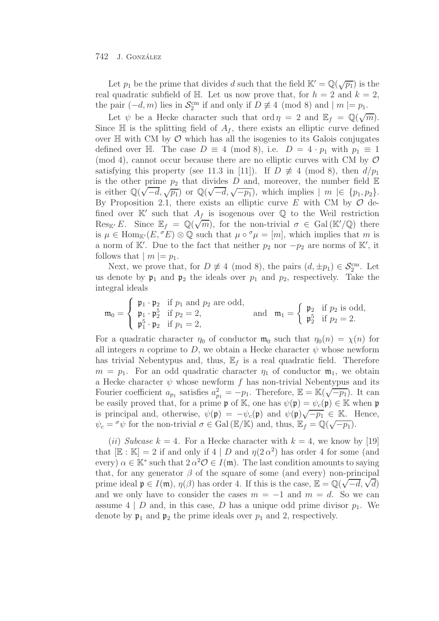Let  $p_1$  be the prime that divides d such that the field  $\mathbb{K}' = \mathbb{Q}(\sqrt{p_1})$  is the real quadratic subfield of H. Let us now prove that, for  $h = 2$  and  $k = 2$ , the pair  $(-d, m)$  lies in  $\mathcal{S}_2^{\text{cm}}$  if and only if  $D \not\equiv 4 \pmod{8}$  and  $|m| = p_1$ .

Let  $\psi$  be a Hecke character such that ord  $\eta = 2$  and  $\mathbb{E}_f = \mathbb{Q}(\sqrt{m})$ . Since  $\mathbb H$  is the splitting field of  $A_f$ , there exists an elliptic curve defined over  $\mathbb H$  with CM by  $\mathcal O$  which has all the isogenies to its Galois conjugates defined over H. The case  $D \equiv 4 \pmod{8}$ , i.e.  $D = 4 \cdot p_1$  with  $p_1 \equiv 1$ (mod 4), cannot occur because there are no elliptic curves with CM by  $\mathcal O$ satisfying this property (see 11.3 in [11]). If  $D \not\equiv 4 \pmod{8}$ , then  $d/p_1$ is the other prime  $p_2$  that divides D and, moreover, the number field  $E$ is the other prime  $p_2$  that divides D and, moreover, the number field E<br>is either  $\mathbb{Q}(\sqrt{-d}, \sqrt{p_1})$  or  $\mathbb{Q}(\sqrt{-d}, \sqrt{-p_1})$ , which implies  $|m| \in \{p_1, p_2\}$ . By Proposition 2.1, there exists an elliptic curve E with CM by  $\mathcal O$  defined over  $\mathbb{K}'$  such that  $A_f$  is isogenous over  $\mathbb{Q}$  to the Weil restriction Res<sub>K'</sub> E. Since  $\mathbb{E}_f = \mathbb{Q}(\sqrt{m})$ , for the non-trivial  $\sigma \in \text{Gal}(\mathbb{K}/\mathbb{Q})$  there is  $\mu \in \text{Hom}_{\mathbb{K}}(E, {}^{\sigma}E) \otimes \mathbb{Q}$  such that  $\mu \circ {}^{\sigma}\mu = [m]$ , which implies that m is a norm of K'. Due to the fact that neither  $p_2$  nor  $-p_2$  are norms of K', it follows that  $|m| = p_1$ .

Next, we prove that, for  $D \neq 4 \pmod{8}$ , the pairs  $(d, \pm p_1) \in \mathcal{S}_2^{\text{cm}}$ . Let us denote by  $\mathfrak{p}_1$  and  $\mathfrak{p}_2$  the ideals over  $p_1$  and  $p_2$ , respectively. Take the integral ideals

$$
\mathfrak{m}_0 = \left\{ \begin{array}{ll} \mathfrak{p}_1 \cdot \mathfrak{p}_2 & \text{if } p_1 \text{ and } p_2 \text{ are odd,} \\ \mathfrak{p}_1 \cdot \mathfrak{p}_2^5 & \text{if } p_2 = 2, \\ \mathfrak{p}_1^5 \cdot \mathfrak{p}_2 & \text{if } p_1 = 2, \end{array} \right. \quad \text{and} \quad \mathfrak{m}_1 = \left\{ \begin{array}{ll} \mathfrak{p}_2 & \text{if } p_2 \text{ is odd,} \\ \mathfrak{p}_2^5 & \text{if } p_2 = 2. \end{array} \right.
$$

For a quadratic character  $\eta_0$  of conductor  $\mathfrak{m}_0$  such that  $\eta_0(n) = \chi(n)$  for all integers n coprime to D, we obtain a Hecke character  $\psi$  whose newform has trivial Nebentypus and, thus,  $\mathbb{E}_f$  is a real quadratic field. Therefore  $m = p_1$ . For an odd quadratic character  $\eta_1$  of conductor  $\mathfrak{m}_1$ , we obtain a Hecke character  $\psi$  whose newform f has non-trivial Nebentypus and its Fourier coefficient  $a_{p_1}$  satisfies  $a_{p_1}^2 = -p_1$ . Therefore,  $\mathbb{E} = \mathbb{K}(\sqrt{-p_1})$ . It can be easily proved that, for a prime  $\mathfrak{p}$  of K, one has  $\psi(\mathfrak{p}) = \psi_c(\mathfrak{p}) \in \mathbb{K}$  when  $\mathfrak{p}$ is principal and, otherwise,  $\psi(\mathfrak{p}) = -\psi_c(\mathfrak{p})$  and  $\psi(\mathfrak{p})\sqrt{-p_1} \in \mathbb{K}$ . Hence,  $\psi_c = \sigma \psi$  for the non-trivial  $\sigma \in$  Gal ( $\mathbb{E}/\mathbb{K}$ ) and, thus,  $\mathbb{E}_f = \mathbb{Q}(\sqrt{-p_1})$ .

(*ii*) *Subcase*  $k = 4$ . For a Hecke character with  $k = 4$ , we know by [19] that  $[\mathbb{E} : \mathbb{K}] = 2$  if and only if  $4 | D$  and  $\eta(2 \alpha^2)$  has order 4 for some (and every)  $\alpha \in \mathbb{K}^*$  such that  $2 \alpha^2 \mathcal{O} \in I(\mathfrak{m})$ . The last condition amounts to saying that, for any generator  $\beta$  of the square of some (and every) non-principal that, for any generator  $\beta$  or the square of some (and every) non-principal<br>prime ideal  $\mathfrak{p} \in I(\mathfrak{m}), \eta(\beta)$  has order 4. If this is the case,  $\mathbb{E} = \mathbb{Q}(\sqrt{-d}, \sqrt{d})$ and we only have to consider the cases  $m = -1$  and  $m = d$ . So we can assume 4 | D and, in this case, D has a unique odd prime divisor  $p_1$ . We denote by  $\mathfrak{p}_1$  and  $\mathfrak{p}_2$  the prime ideals over  $p_1$  and 2, respectively.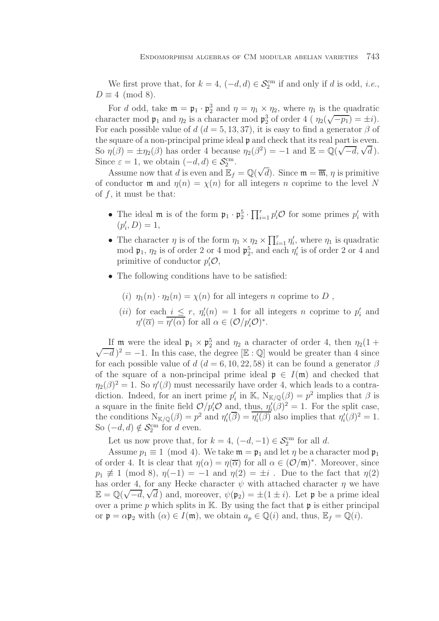We first prove that, for  $k = 4$ ,  $(-d, d) \in \mathcal{S}_2^{\text{cm}}$  if and only if d is odd, *i.e.*,  $D \equiv 4 \pmod{8}$ .

For d odd, take  $\mathfrak{m} = \mathfrak{p}_1 \cdot \mathfrak{p}_2^3$  and  $\eta = \eta_1 \times \eta_2$ , where  $\eta_1$  is the quadratic character mod  $\mathfrak{p}_1$  and  $\eta_2$  is a character mod  $\mathfrak{p}_2^3$  of order 4 (  $\eta_2(\sqrt{-p_1}) = \pm i$ ). For each possible value of  $d$  ( $d = 5, 13, 37$ ), it is easy to find a generator  $\beta$  of the square of a non-principal prime ideal p and check that its real part is even. the square of a non-principal prime ideal **p** and check that its real part is even.<br>So  $\eta(\beta) = \pm \eta_2(\beta)$  has order 4 because  $\eta_2(\beta^2) = -1$  and  $\mathbb{E} = \mathbb{Q}(\sqrt{-d}, \sqrt{d})$ . Since  $\varepsilon = 1$ , we obtain  $(-d, d) \in \mathcal{S}_2^{\text{cm}}$ . √

Assume now that d is even and  $\mathbb{E}_f = \mathbb{Q}(\mathbb{Q})$ d). Since  $\mathfrak{m} = \overline{\mathfrak{m}}$ ,  $\eta$  is primitive of conductor **m** and  $\eta(n) = \chi(n)$  for all integers *n* coprime to the level N of  $f$ , it must be that:

- The ideal  $\mathfrak{m}$  is of the form  $\mathfrak{p}_1 \cdot \mathfrak{p}_2^5 \cdot \prod_{i=1}^r p'_i \mathcal{O}$  for some primes  $p'_i$  with  $(p'_i, D) = 1,$
- The character  $\eta$  is of the form  $\eta_1 \times \eta_2 \times \prod_{i=1}^r \eta'_i$ , where  $\eta_1$  is quadratic mod  $\mathfrak{p}_1$ ,  $\eta_2$  is of order 2 or 4 mod  $\mathfrak{p}_2^5$ , and each  $\eta_i'$  is of order 2 or 4 and primitive of conductor  $p_i' \mathcal{O}$ ,
- The following conditions have to be satisfied:
	- (i)  $\eta_1(n) \cdot \eta_2(n) = \chi(n)$  for all integers n coprime to D,
	- (*ii*) for each  $i \leq r$ ,  $\eta'_i(n) = 1$  for all integers *n* coprime to  $p'_i$  and  $\eta'(\overline{\alpha}) = \eta'(\alpha)$  for all  $\alpha \in (\mathcal{O}/p'_i\mathcal{O})^*$ .

If **m** were the ideal  $\mathfrak{p}_1 \times \mathfrak{p}_2^5$  and  $\eta_2$  a character of order 4, then  $\eta_2(1 +$ If in were the ideal  $p_1 \times p_2$  and  $\eta_2$  a character of order 4, then  $\eta_2(1 + \sqrt{-d})^2 = -1$ . In this case, the degree [E : Q] would be greater than 4 since for each possible value of d ( $d = 6, 10, 22, 58$ ) it can be found a generator  $\beta$ of the square of a non-principal prime ideal  $\mathfrak{p} \in I(\mathfrak{m})$  and checked that  $\eta_2(\beta)^2 = 1$ . So  $\eta'(\beta)$  must necessarily have order 4, which leads to a contradiction. Indeed, for an inert prime  $p'_i$  in K,  $N_{K/\mathbb{Q}}(\beta) = p^2$  implies that  $\beta$  is a square in the finite field  $\mathcal{O}/p'_i\mathcal{O}$  and, thus,  $\eta'_i(\tilde{\beta})^2 = 1$ . For the split case, the conditions  $N_{\mathbb{K}/\mathbb{Q}}(\beta) = p^2$  and  $\eta_i'(\overline{\beta}) = \overline{\eta_i'(\beta)}$  also implies that  $\eta_i'(\beta)^2 = 1$ . So  $(-d, d) \notin \mathcal{S}_2^{\text{cm}}$  for d even.

Let us now prove that, for  $k = 4$ ,  $(-d, -1) \in \mathcal{S}_2^{\text{cm}}$  for all d.

Assume  $p_1 \equiv 1 \pmod{4}$ . We take  $\mathfrak{m} = \mathfrak{p}_1$  and let  $\eta$  be a character mod  $\mathfrak{p}_1$ of order 4. It is clear that  $\eta(\alpha) = \eta(\overline{\alpha})$  for all  $\alpha \in (\mathcal{O}/\mathfrak{m})^*$ . Moreover, since  $p_1 \not\equiv 1 \pmod{8}$ ,  $\eta(-1) = -1$  and  $\eta(2) = \pm i$ . Due to the fact that  $\eta(2)$ has order 4, for any Hecke character  $\psi$  with attached character  $\eta$  we have has order 4, for any Hecke character  $\psi$  with attached character  $\eta$  we have  $\mathbb{E} = \mathbb{Q}(\sqrt{-d}, \sqrt{d})$  and, moreover,  $\psi(\mathfrak{p}_2) = \pm (1 \pm i)$ . Let  $\mathfrak{p}$  be a prime ideal over a prime  $p$  which splits in K. By using the fact that  $\mathfrak p$  is either principal or  $\mathfrak{p} = \alpha \mathfrak{p}_2$  with  $(\alpha) \in I(\mathfrak{m})$ , we obtain  $a_p \in \mathbb{Q}(i)$  and, thus,  $\mathbb{E}_f = \mathbb{Q}(i)$ .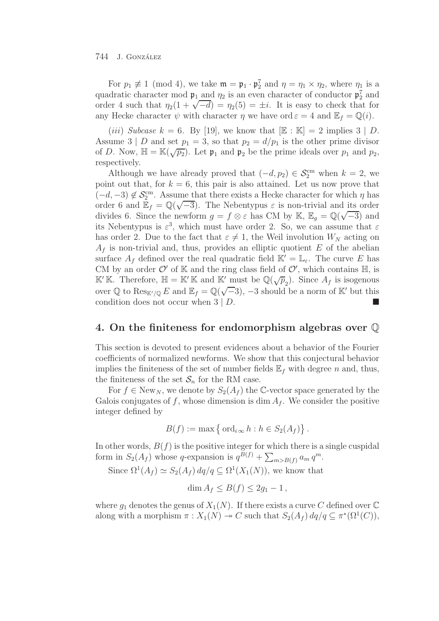For  $p_1 \not\equiv 1 \pmod{4}$ , we take  $\mathfrak{m} = \mathfrak{p}_1 \cdot \mathfrak{p}_2^7$  and  $\eta = \eta_1 \times \eta_2$ , where  $\eta_1$  is a quadratic character mod  $\mathfrak{p}_1$  and  $\eta_2$  is an even character of conductor  $\mathfrak{p}_2^7$  and order 4 such that  $\eta_2(1 + \sqrt{-d}) = \eta_2(5) = \pm i$ . It is easy to check that for any Hecke character  $\psi$  with character  $\eta$  we have ord  $\varepsilon = 4$  and  $\mathbb{E}_f = \mathbb{Q}(i)$ .

(*iii*) *Subcase*  $k = 6$ . By [19], we know that  $[\mathbb{E} : \mathbb{K}] = 2$  implies  $3 | D$ . Assume 3 | D and set  $p_1 = 3$ , so that  $p_2 = d/p_1$  is the other prime divisor of D. Now,  $\mathbb{H} = \mathbb{K}(\sqrt{p_2})$ . Let  $\mathfrak{p}_1$  and  $\mathfrak{p}_2$  be the prime ideals over  $p_1$  and  $p_2$ , respectively.

Although we have already proved that  $(-d, p_2) \in \mathcal{S}_2^{\text{cm}}$  when  $k = 2$ , we point out that, for  $k = 6$ , this pair is also attained. Let us now prove that  $(-d, -3) \notin \mathcal{S}_2^{\text{cm}}$ . Assume that there exists a Hecke character for which  $\eta$  has  $(-a, -3) \notin \mathcal{O}_2$ . Assume that there exists a riecke character for which  $\eta$  has order 6 and  $\mathbb{E}_f = \mathbb{Q}(\sqrt{-3})$ . The Nebentypus  $\varepsilon$  is non-trivial and its order divides 6. Since the newform  $g = f \otimes \varepsilon$  has CM by K,  $\mathbb{E}_g = \mathbb{Q}(\sqrt{-3})$  and divides 6. Since the newform  $g = f \otimes \varepsilon$  has CM by K,  $\mathbb{E}_g = \mathbb{Q}(\sqrt{-3})$  and its Nebentypus is  $\varepsilon^3$ , which must have order 2. So, we can assume that  $\varepsilon$ has order 2. Due to the fact that  $\varepsilon \neq 1$ , the Weil involution  $W_N$  acting on  $A_f$  is non-trivial and, thus, provides an elliptic quotient E of the abelian surface  $A_f$  defined over the real quadratic field  $\mathbb{K}' = \mathbb{L}_{\varepsilon}$ . The curve E has CM by an order  $\mathcal{O}'$  of K and the ring class field of  $\mathcal{O}'$ , which contains  $\mathbb{H}$ , is  $\mathbb{K}'\mathbb{K}$ . Therefore,  $\mathbb{H} = \mathbb{K}'\mathbb{K}$  and  $\mathbb{K}'$  must be  $\mathbb{Q}(\sqrt{p}_2)$ . Since  $A_f$  is isogenous over Q to Res<sub>K'/Q</sub> E and E<sub>f</sub> = Q( $\sqrt{-3}$ ), -3 should be a norm of K' but this condition does not occur when  $3 | D$ .

## **4. On the finiteness for endomorphism algebras over** Q

This section is devoted to present evidences about a behavior of the Fourier coefficients of normalized newforms. We show that this conjectural behavior implies the finiteness of the set of number fields  $\mathbb{E}_f$  with degree n and, thus, the finiteness of the set  $S_n$  for the RM case.

For  $f \in \text{New}_N$ , we denote by  $S_2(A_f)$  the C-vector space generated by the Galois conjugates of f, whose dimension is dim  $A_f$ . We consider the positive integer defined by

$$
B(f) := \max \left\{ \text{ ord}_{i\infty} h : h \in S_2(A_f) \right\}.
$$

In other words,  $B(f)$  is the positive integer for which there is a single cuspidal form in  $S_2(A_f)$  whose q-expansion is  $q^{\vec{B}(f)} + \sum_{m>B(f)} a_m q^m$ .

Since  $\Omega^1(A_f) \simeq S_2(A_f) dq/q \subseteq \Omega^1(X_1(N))$ , we know that

 $\dim A_f \leq B(f) \leq 2q_1 - 1$ ,

where  $g_1$  denotes the genus of  $X_1(N)$ . If there exists a curve C defined over  $\mathbb C$ along with a morphism  $\pi : X_1(N) \to C$  such that  $S_2(A_f) dq/q \subseteq \pi^*(\Omega^1(C)),$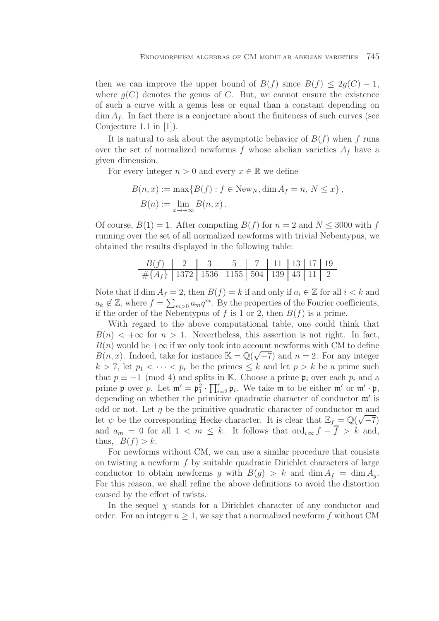then we can improve the upper bound of  $B(f)$  since  $B(f) \leq 2q(C) - 1$ , where  $q(C)$  denotes the genus of C. But, we cannot ensure the existence of such a curve with a genus less or equal than a constant depending on  $\dim A_f$ . In fact there is a conjecture about the finiteness of such curves (see Conjecture 1.1 in [1]).

It is natural to ask about the asymptotic behavior of  $B(f)$  when f runs over the set of normalized newforms f whose abelian varieties  $A_f$  have a given dimension.

For every integer  $n > 0$  and every  $x \in \mathbb{R}$  we define

$$
B(n, x) := \max\{B(f) : f \in New_N, \dim A_f = n, N \le x\},
$$
  

$$
B(n) := \lim_{x \to +\infty} B(n, x).
$$

Of course,  $B(1) = 1$ . After computing  $B(f)$  for  $n = 2$  and  $N \leq 3000$  with f running over the set of all normalized newforms with trivial Nebentypus, we obtained the results displayed in the following table:

| $B(f)$    | 2      | 3      | 5      | 7     | 11    | 13   | 17   | 19  |
|-----------|--------|--------|--------|-------|-------|------|------|-----|
| $\#{A_f}$ | $1372$ | $1536$ | $1155$ | $504$ | $139$ | $43$ | $11$ | $2$ |

Note that if dim  $A_f = 2$ , then  $B(f) = k$  if and only if  $a_i \in \mathbb{Z}$  for all  $i < k$  and  $a_k \notin \mathbb{Z}$ , where  $f = \sum_{m>0} a_m q^m$ . By the properties of the Fourier coefficients, if the order of the Nebentypus of f is 1 or 2, then  $B(f)$  is a prime.

With regard to the above computational table, one could think that  $B(n) < +\infty$  for  $n > 1$ . Nevertheless, this assertion is not right. In fact,  $B(n)$  would be  $+\infty$  if we only took into account newforms with CM to define  $B(n, x)$ . Indeed, take for instance  $\mathbb{K} = \mathbb{Q}(\sqrt{-7})$  and  $n = 2$ . For any integer  $k > 7$ , let  $p_1 < \cdots < p_r$  be the primes  $\leq k$  and let  $p > k$  be a prime such that  $p \equiv -1 \pmod{4}$  and splits in K. Choose a prime  $\mathfrak{p}_i$  over each  $p_i$  and a prime **p** over p. Let  $\mathfrak{m}' = \mathfrak{p}_1^2 \cdot \prod_{i=2}^r \mathfrak{p}_i$ . We take **m** to be either **m'** or **m'**  $\cdot \mathfrak{p}$ , depending on whether the primitive quadratic character of conductor  $\mathfrak{m}'$  is odd or not. Let  $\eta$  be the primitive quadratic character of conductor  $\mathfrak{m}$  and bodd of not. Let  $\eta$  be the primitive quadratic character of conductor in and<br>let  $\psi$  be the corresponding Hecke character. It is clear that  $\mathbb{E}_f = \mathbb{Q}(\sqrt{-7})$ and  $a_m = 0$  for all  $1 < m \leq k$ . It follows that  $\text{ord}_{i \infty} f - \overline{f} > k$  and, thus,  $B(f) > k$ .

For newforms without CM, we can use a similar procedure that consists on twisting a newform  $f$  by suitable quadratic Dirichlet characters of large conductor to obtain newforms q with  $B(q) > k$  and  $\dim A_f = \dim A_q$ . For this reason, we shall refine the above definitions to avoid the distortion caused by the effect of twists.

In the sequel  $\chi$  stands for a Dirichlet character of any conductor and order. For an integer  $n \geq 1$ , we say that a normalized newform f without CM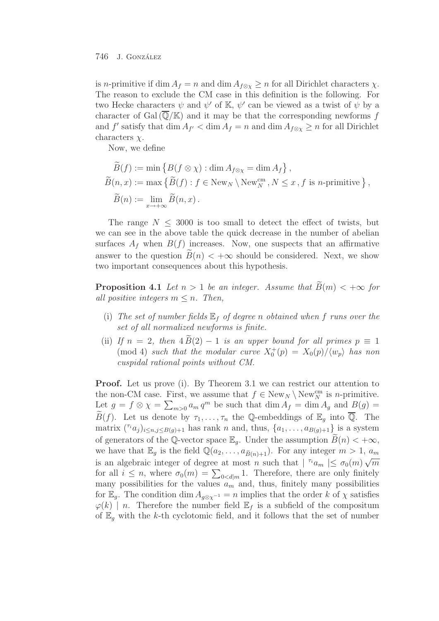is *n*-primitive if dim  $A_f = n$  and dim  $A_{f \otimes \chi} \geq n$  for all Dirichlet characters  $\chi$ . The reason to exclude the CM case in this definition is the following. For two Hecke characters  $\psi$  and  $\psi'$  of K,  $\psi'$  can be viewed as a twist of  $\psi$  by a character of Gal $(\mathbb{Q}/\mathbb{K})$  and it may be that the corresponding newforms f and  $f'$  satisfy that  $\dim A_{f'} < \dim A_f = n$  and  $\dim A_{f \otimes \chi} \ge n$  for all Dirichlet characters  $\chi$ .

Now, we define

$$
\widetilde{B}(f) := \min \{ B(f \otimes \chi) : \dim A_{f \otimes \chi} = \dim A_f \},
$$
  
\n
$$
\widetilde{B}(n, x) := \max \{ \widetilde{B}(f) : f \in New_N \setminus New_N^{cm}, N \le x, f \text{ is } n\text{-primitive } \},
$$
  
\n
$$
\widetilde{B}(n) := \lim_{x \to +\infty} \widetilde{B}(n, x).
$$

The range  $N \leq 3000$  is too small to detect the effect of twists, but we can see in the above table the quick decrease in the number of abelian surfaces  $A_f$  when  $B(f)$  increases. Now, one suspects that an affirmative answer to the question  $B(n) < +\infty$  should be considered. Next, we show two important consequences about this hypothesis.

**Proposition 4.1** *Let*  $n > 1$  *be an integer. Assume that*  $\widetilde{B}(m) < +\infty$  *for all positive integers*  $m \leq n$ *. Then,* 

- (i) The set of number fields  $\mathbb{E}_f$  of degree n obtained when f runs over the *set of all normalized newforms is finite.*
- (ii) *If*  $n = 2$ , then  $4B(2) 1$  *is an upper bound for all primes*  $p \equiv 1$ (mod 4) *such that the modular curve*  $X_0^+(p) = X_0(p)/\langle w_p \rangle$  *has non cuspidal rational points without CM.*

**Proof.** Let us prove (i). By Theorem 3.1 we can restrict our attention to the non-CM case. First, we assume that  $f \in \text{New}_N \setminus \text{New}_N^{\text{cm}}$  is *n*-primitive. Let  $g = f \otimes \chi = \sum_{m>0} a_m q^m$  be such that  $\dim A_f = \dim A_g$  and  $B(g) =$  $\widetilde{B}(f)$ . Let us denote by  $\tau_1,\ldots,\tau_n$  the Q-embeddings of  $\mathbb{E}_g$  into  $\overline{\mathbb{Q}}$ . The matrix  $({}^{\tau_i}a_j)_{i\leq n,j\leq B(q)+1}$  has rank n and, thus,  ${a_1,\ldots,a_{B(q)+1}}$  is a system of generators of the Q-vector space  $\mathbb{E}_q$ . Under the assumption  $B(n) < +\infty$ , we have that  $\mathbb{E}_g$  is the field  $\mathbb{Q}(a_2,\ldots,a_{\widetilde{B}(n)+1})$ . For any integer  $m>1$ ,  $a_m$ is an algebraic integer of degree at most n such that  $|\tau_i a_m| \leq \sigma_0(m) \sqrt{m}$ for all  $i \leq n$ , where  $\sigma_0(m) = \sum_{0 < d|m} 1$ . Therefore, there are only finitely many possibilities for the values  $a_m$  and, thus, finitely many possibilities for  $\mathbb{E}_g$ . The condition dim  $A_{g \otimes \chi^{-1}} = n$  implies that the order k of  $\chi$  satisfies  $\varphi(k)$  | n. Therefore the number field  $\mathbb{E}_f$  is a subfield of the compositum of  $\mathbb{E}_q$  with the k-th cyclotomic field, and it follows that the set of number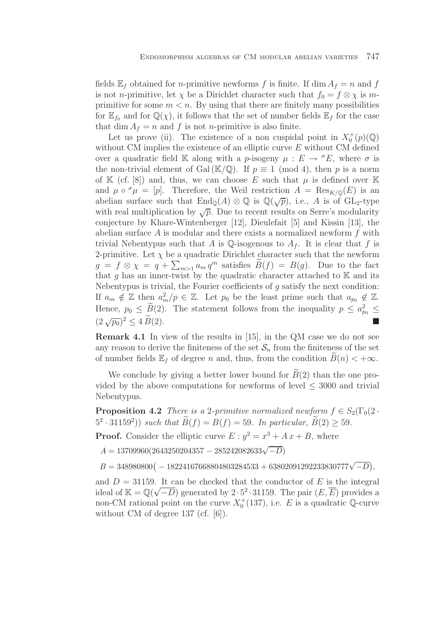fields  $\mathbb{E}_f$  obtained for *n*-primitive newforms f is finite. If dim  $A_f = n$  and f is not *n*-primitive, let  $\chi$  be a Dirichlet character such that  $f_0 = f \otimes \chi$  is mprimitive for some  $m < n$ . By using that there are finitely many possibilities for  $\mathbb{E}_{f_0}$  and for  $\mathbb{Q}(\chi)$ , it follows that the set of number fields  $\mathbb{E}_f$  for the case that dim  $A_f = n$  and f is not *n*-primitive is also finite.

Let us prove (ii). The existence of a non cuspidal point in  $X_0^+(p)(\mathbb{Q})$ without CM implies the existence of an elliptic curve  $E$  without CM defined over a quadratic field K along with a p-isogeny  $\mu : E \to {}^{\sigma}E$ , where  $\sigma$  is the non-trivial element of Gal ( $\mathbb{K}/\mathbb{Q}$ ). If  $p \equiv 1 \pmod{4}$ , then p is a norm of K (cf. [8]) and, thus, we can choose E such that  $\mu$  is defined over K and  $\mu \circ^{\sigma} \mu = [p]$ . Therefore, the Weil restriction  $A = \text{Res}_{K/\mathbb{Q}}(E)$  is an abelian surface such that  $\text{End}_{\mathbb{Q}}(A) \otimes \mathbb{Q}$  is  $\mathbb{Q}(\sqrt{p})$ , i.e., A is of  $\text{GL}_2$ -type with real multiplication by  $\sqrt{p}$ . Due to recent results on Serre's modularity conjecture by Khare-Wintenberger [12], Dieulefait [5] and Kissin [13], the abelian surface  $A$  is modular and there exists a normalized newform  $f$  with trivial Nebentypus such that A is Q-isogenous to  $A_f$ . It is clear that f is 2-primitive. Let  $\chi$  be a quadratic Dirichlet character such that the newform  $g = f \otimes \chi = q + \sum_{m>1} a_m q^m$  satisfies  $\widetilde{B}(f) = B(g)$ . Due to the fact that g has an inner-twist by the quadratic character attached to  $K$  and its Nebentypus is trivial, the Fourier coefficients of  $q$  satisfy the next condition: If  $a_m \notin \mathbb{Z}$  then  $a_m^2/p \in \mathbb{Z}$ . Let  $p_0$  be the least prime such that  $a_{p_0} \notin \mathbb{Z}$ . Hence,  $p_0 \leq \widetilde{B}(2)$ . The statement follows from the inequality  $p \leq a_{p_0}^2 \leq$  $(2\sqrt{p_0})^2 \leq 4\widetilde{B}(2).$ 

**Remark 4.1** In view of the results in [15], in the QM case we do not see any reason to derive the finiteness of the set  $S_n$  from the finiteness of the set of number fields  $\mathbb{E}_f$  of degree n and, thus, from the condition  $B(n) < +\infty$ .

We conclude by giving a better lower bound for  $B(2)$  than the one provided by the above computations for newforms of level  $\leq$  3000 and trivial Nebentypus.

**Proposition 4.2** *There is a* 2*-primitive normalized newform*  $f \in S_2(\Gamma_0(2 \cdot$  $(5^2 \cdot 31159^2)$ ) *such that*  $B(f) = B(f) = 59$ *. In particular,*  $B(2) \ge 59$ *.* 

**Proof.** Consider the elliptic curve  $E: y^2 = x^3 + Ax + B$ , where

*<sup>A</sup>* = 13709960(2643250204357 <sup>−</sup> <sup>285242082633</sup>√−*<sup>D</sup>*)

 $B = 348980800($ <sup>−</sup> 18224167668804803284533 + 63802091292233830777√−*D ,*

and  $D = 31159$ . It can be checked that the conductor of E is the integral and  $D = 31139$ . It can be checked that the conductor of E is the integral<br>ideal of  $\mathbb{K} = \mathbb{Q}(\sqrt{-D})$  generated by  $2 \cdot 5^2 \cdot 31159$ . The pair  $(E, \overline{E})$  provides a non-CM rational point on the curve  $X_0^+(137)$ , i.e. E is a quadratic Q-curve without CM of degree 137 (cf. [6]).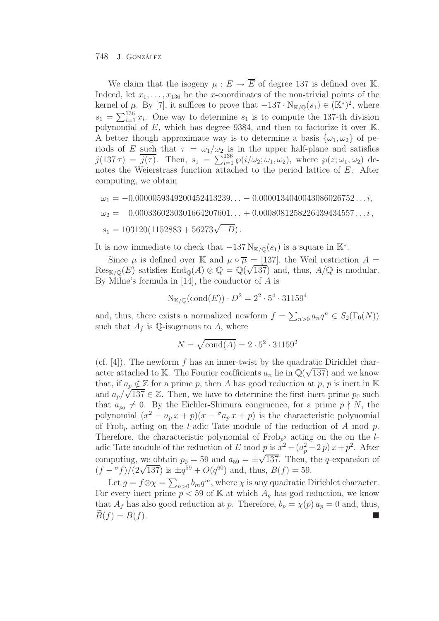We claim that the isogeny  $\mu : E \to \overline{E}$  of degree 137 is defined over K. Indeed, let  $x_1, \ldots, x_{136}$  be the x-coordinates of the non-trivial points of the kernel of  $\mu$ . By [7], it suffices to prove that  $-137 \cdot N_{K/\mathbb{Q}}(s_1) \in (K^*)^2$ , where  $s_1 = \sum_{i=1}^{136} x_i$ . One way to determine  $s_1$  is to compute the 137-th division polynomial of E, which has degree 9384, and then to factorize it over K. A better though approximate way is to determine a basis  $\{\omega_1, \omega_2\}$  of periods of E such that  $\tau = \omega_1/\omega_2$  is in the upper half-plane and satisfies  $j(137\,\tau) = \overline{j(\tau)}$ . Then,  $s_1 = \sum_{i=1}^{136} \wp(i/\omega_2; \omega_1, \omega_2)$ , where  $\wp(z; \omega_1, \omega_2)$  denotes the Weierstrass function attached to the period lattice of E. After computing, we obtain

$$
\omega_1 = -0.0000059349200452413239... - 0.0000134040043086026752...i,\n\omega_2 = 0.0003360230301664207601... + 0.0008081258226439434557...i,\ns1 = 103120(1152883 + 56273\sqrt{-D}).
$$

It is now immediate to check that  $-137 \text{ N}_{K/\mathbb{Q}}(s_1)$  is a square in K<sup>\*</sup>.

Since  $\mu$  is defined over K and  $\mu \circ \overline{\mu} = [137]$ , the Weil restriction  $A =$ Since  $\mu$  is defined over its and  $\mu \circ \mu = [157]$ , the well restriction  $A = \text{Res}_{\mathbb{K}/\mathbb{Q}}(E)$  satisfies  $\text{End}_{\mathbb{Q}}(A) \otimes \mathbb{Q} = \mathbb{Q}(\sqrt{137})$  and, thus,  $A/\mathbb{Q}$  is modular. By Milne's formula in  $[14]$ , the conductor of A is

$$
N_{K/\mathbb{Q}}(\text{cond}(E)) \cdot D^2 = 2^2 \cdot 5^4 \cdot 31159^4
$$

and, thus, there exists a normalized newform  $f = \sum_{n>0} a_n q^n \in S_2(\Gamma_0(N))$ such that  $A_f$  is Q-isogenous to A, where

$$
N = \sqrt{\text{cond}(A)} = 2 \cdot 5^2 \cdot 31159^2
$$

(cf. [4]). The newform f has an inner-twist by the quadratic Dirichlet character attached to K. The Fourier coefficients  $a_n$  lie in  $\mathbb{Q}(\sqrt{137})$  and we know that, if  $a_p \notin \mathbb{Z}$  for a prime p, then A has good reduction at p, p is inert in K and  $a_p/\sqrt{137} \in \mathbb{Z}$ . Then, we have to determine the first inert prime  $p_0$  such and  $a_p/\sqrt{137} \in \mathbb{Z}$ . Then, we have to determine the first inert prime  $p_0$  such that  $a_{p_0} \neq 0$ . By the Eichler-Shimura congruence, for a prime  $p \nmid N$ , the polynomial  $(x^2 - a_p x + p)(x - a_p x + p)$  is the characteristic polynomial of Frob<sub>p</sub> acting on the *l*-adic Tate module of the reduction of A mod p. Therefore, the characteristic polynomial of  $Frob_{p^2}$  acting on the on the ladic Tate module of the reduction of E mod p is  $x^2 - (a_p^2 - 2p)x + p^2$ . After computing, we obtain  $p_0 = 59$  and  $a_{59} = \pm \sqrt{137}$ . Then, the q-expansion of  $(f - \sigma f)/(2\sqrt{137})$  is  $\pm q^{59} + O(q^{60})$  and, thus,  $B(f) = 59$ .

Let  $g = f \otimes \chi = \sum_{n>0} b_m q^m$ , where  $\chi$  is any quadratic Dirichlet character. For every inert prime  $p < 59$  of K at which  $A_q$  has god reduction, we know that  $A_f$  has also good reduction at p. Therefore,  $b_p = \chi(p) a_p = 0$  and, thus,  $B(f) = B(f).$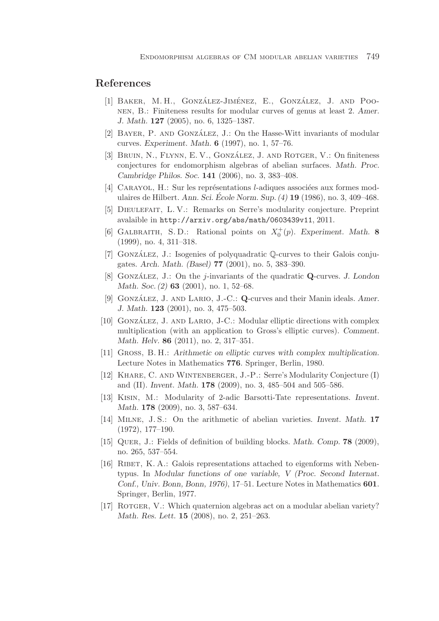## **References**

- [1] BAKER, M.H., GONZÁLEZ-JIMÉNEZ, E., GONZÁLEZ, J. AND POOnen, B.: Finiteness results for modular curves of genus at least 2. *Amer. J. Math.* **127** (2005), no. 6, 1325–1387.
- [2] BAYER, P. AND GONZÁLEZ, J.: On the Hasse-Witt invariants of modular curves. *Experiment. Math.* **6** (1997), no. 1, 57–76.
- [3] BRUIN, N., FLYNN, E. V., GONZÁLEZ, J. AND ROTGER, V.: On finiteness conjectures for endomorphism algebras of abelian surfaces. *Math. Proc. Cambridge Philos. Soc.* **141** (2006), no. 3, 383–408.
- [4] CARAYOL, H.: Sur les représentations *l*-adiques associées aux formes modulaires de Hilbert. *Ann. Sci. Ecole Norm. Sup. (4) ´* **19** (1986), no. 3, 409–468.
- [5] Dieulefait, L. V.: Remarks on Serre's modularity conjecture. Preprint avalaible in http://arxiv.org/abs/math/0603439v11, 2011.
- [6] GALBRAITH, S.D.: Rational points on  $X_0^+(p)$ . *Experiment. Math.* 8 (1999), no. 4, 311–318.
- [7] GONZÁLEZ, J.: Isogenies of polyquadratic  $\mathbb Q$ -curves to their Galois conjugates. *Arch. Math. (Basel)* **77** (2001), no. 5, 383–390.
- [8] Gonzalez, J. ´ : On the *j*-invariants of the quadratic **Q**-curves. *J. London Math. Soc. (2)* **63** (2001), no. 1, 52–68.
- [9] GONZÁLEZ, J. AND LARIO, J.-C.: **Q**-curves and their Manin ideals. Amer. *J. Math.* **123** (2001), no. 3, 475–503.
- [10] GONZÁLEZ, J. AND LARIO, J-C.: Modular elliptic directions with complex multiplication (with an application to Gross's elliptic curves). *Comment. Math. Helv.* **86** (2011), no. 2, 317–351.
- [11] Gross, B. H.: *Arithmetic on elliptic curves with complex multiplication.* Lecture Notes in Mathematics **776**. Springer, Berlin, 1980.
- [12] Khare, C. and Wintenberger, J.-P.: Serre's Modularity Conjecture (I) and (II). *Invent. Math.* **178** (2009), no. 3, 485–504 and 505–586.
- [13] Kisin, M.: Modularity of 2-adic Barsotti-Tate representations. *Invent. Math.* **178** (2009), no. 3, 587–634.
- [14] Milne, J. S.: On the arithmetic of abelian varieties. *Invent. Math.* **17** (1972), 177–190.
- [15] Quer, J.: Fields of definition of building blocks. *Math. Comp.* **78** (2009), no. 265, 537–554.
- [16] Ribet, K. A.: Galois representations attached to eigenforms with Nebentypus. In *Modular functions of one variable, V (Proc. Second Internat. Conf., Univ. Bonn, Bonn, 1976)*, 17–51. Lecture Notes in Mathematics **601**. Springer, Berlin, 1977.
- [17] ROTGER, V.: Which quaternion algebras act on a modular abelian variety? *Math. Res. Lett.* **15** (2008), no. 2, 251–263.